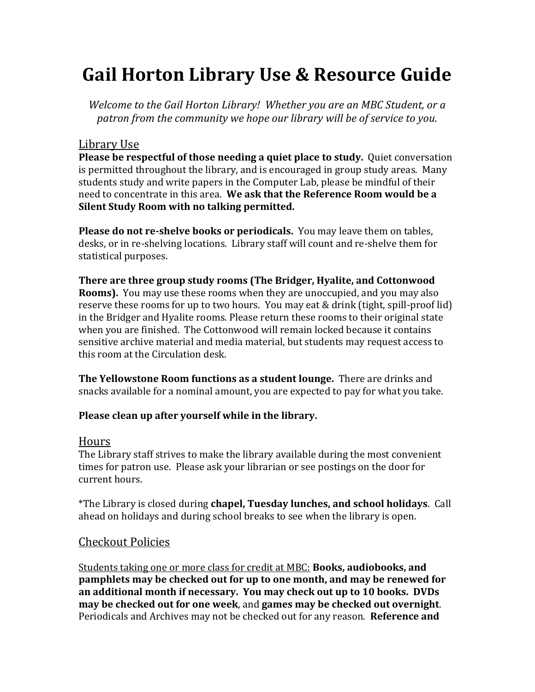# **Gail Horton Library Use & Resource Guide**

*Welcome to the Gail Horton Library! Whether you are an MBC Student, or a patron from the community we hope our library will be of service to you.*

#### Library Use

**Please be respectful of those needing a quiet place to study.** Quiet conversation is permitted throughout the library, and is encouraged in group study areas. Many students study and write papers in the Computer Lab, please be mindful of their need to concentrate in this area. **We ask that the Reference Room would be a Silent Study Room with no talking permitted.**

**Please do not re-shelve books or periodicals.** You may leave them on tables, desks, or in re-shelving locations. Library staff will count and re-shelve them for statistical purposes.

**There are three group study rooms (The Bridger, Hyalite, and Cottonwood Rooms).** You may use these rooms when they are unoccupied, and you may also reserve these rooms for up to two hours. You may eat & drink (tight, spill-proof lid) in the Bridger and Hyalite rooms. Please return these rooms to their original state when you are finished. The Cottonwood will remain locked because it contains sensitive archive material and media material, but students may request access to this room at the Circulation desk.

**The Yellowstone Room functions as a student lounge.** There are drinks and snacks available for a nominal amount, you are expected to pay for what you take.

#### **Please clean up after yourself while in the library.**

#### Hours

The Library staff strives to make the library available during the most convenient times for patron use. Please ask your librarian or see postings on the door for current hours.

\*The Library is closed during **chapel, Tuesday lunches, and school holidays**. Call ahead on holidays and during school breaks to see when the library is open.

#### Checkout Policies

Students taking one or more class for credit at MBC: **Books, audiobooks, and pamphlets may be checked out for up to one month, and may be renewed for an additional month if necessary. You may check out up to 10 books. DVDs may be checked out for one week**, and **games may be checked out overnight**. Periodicals and Archives may not be checked out for any reason. **Reference and**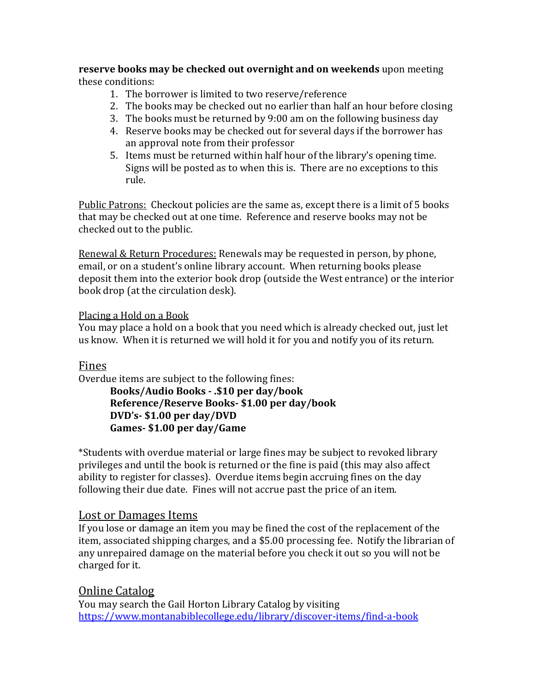**reserve books may be checked out overnight and on weekends** upon meeting these conditions:

- 1. The borrower is limited to two reserve/reference
- 2. The books may be checked out no earlier than half an hour before closing
- 3. The books must be returned by 9:00 am on the following business day
- 4. Reserve books may be checked out for several days if the borrower has an approval note from their professor
- 5. Items must be returned within half hour of the library's opening time. Signs will be posted as to when this is. There are no exceptions to this rule.

Public Patrons: Checkout policies are the same as, except there is a limit of 5 books that may be checked out at one time. Reference and reserve books may not be checked out to the public.

Renewal & Return Procedures: Renewals may be requested in person, by phone, email, or on a student's online library account. When returning books please deposit them into the exterior book drop (outside the West entrance) or the interior book drop (at the circulation desk).

#### Placing a Hold on a Book

You may place a hold on a book that you need which is already checked out, just let us know. When it is returned we will hold it for you and notify you of its return.

#### Fines

Overdue items are subject to the following fines:

**Books/Audio Books - .\$10 per day/book Reference/Reserve Books- \$1.00 per day/book DVD's- \$1.00 per day/DVD Games- \$1.00 per day/Game**

\*Students with overdue material or large fines may be subject to revoked library privileges and until the book is returned or the fine is paid (this may also affect ability to register for classes). Overdue items begin accruing fines on the day following their due date. Fines will not accrue past the price of an item.

#### Lost or Damages Items

If you lose or damage an item you may be fined the cost of the replacement of the item, associated shipping charges, and a \$5.00 processing fee. Notify the librarian of any unrepaired damage on the material before you check it out so you will not be charged for it.

#### Online Catalog

You may search the Gail Horton Library Catalog by visiting <https://www.montanabiblecollege.edu/library/discover-items/find-a-book>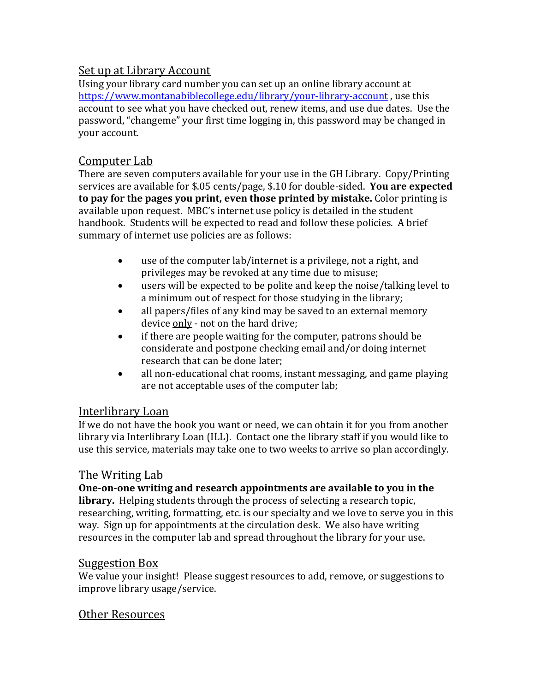# Set up at Library Account

Using your library card number you can set up an online library account at <https://www.montanabiblecollege.edu/library/your-library-account> , use this account to see what you have checked out, renew items, and use due dates. Use the password, "changeme" your first time logging in, this password may be changed in your account.

# Computer Lab

There are seven computers available for your use in the GH Library. Copy/Printing services are available for \$.05 cents/page, \$.10 for double-sided. **You are expected to pay for the pages you print, even those printed by mistake.** Color printing is available upon request. MBC's internet use policy is detailed in the student handbook. Students will be expected to read and follow these policies. A brief summary of internet use policies are as follows:

- use of the computer lab/internet is a privilege, not a right, and privileges may be revoked at any time due to misuse;
- users will be expected to be polite and keep the noise/talking level to a minimum out of respect for those studying in the library;
- all papers/files of any kind may be saved to an external memory device only - not on the hard drive;
- if there are people waiting for the computer, patrons should be considerate and postpone checking email and/or doing internet research that can be done later;
- all non-educational chat rooms, instant messaging, and game playing are not acceptable uses of the computer lab;

#### Interlibrary Loan

If we do not have the book you want or need, we can obtain it for you from another library via Interlibrary Loan (ILL). Contact one the library staff if you would like to use this service, materials may take one to two weeks to arrive so plan accordingly.

# The Writing Lab

**One-on-one writing and research appointments are available to you in the library.** Helping students through the process of selecting a research topic, researching, writing, formatting, etc. is our specialty and we love to serve you in this way. Sign up for appointments at the circulation desk. We also have writing resources in the computer lab and spread throughout the library for your use.

# Suggestion Box

We value your insight! Please suggest resources to add, remove, or suggestions to improve library usage/service.

# Other Resources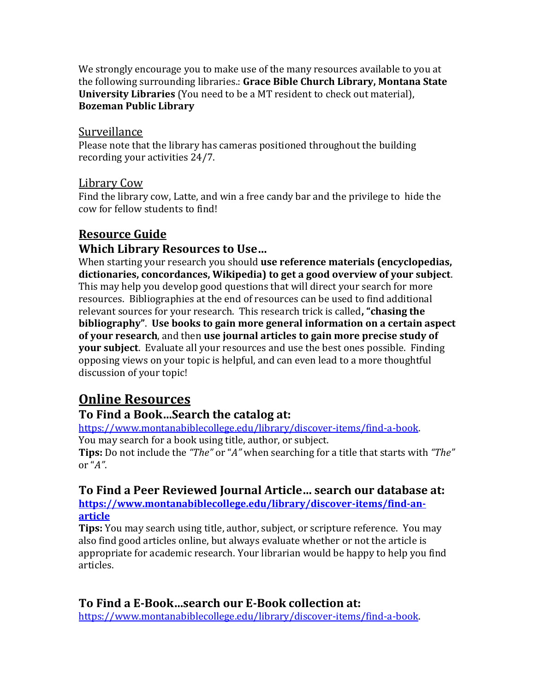We strongly encourage you to make use of the many resources available to you at the following surrounding libraries.: **Grace Bible Church Library, Montana State University Libraries** (You need to be a MT resident to check out material), **Bozeman Public Library**

#### Surveillance

Please note that the library has cameras positioned throughout the building recording your activities 24/7.

#### Library Cow

Find the library cow, Latte, and win a free candy bar and the privilege to hide the cow for fellow students to find!

# **Resource Guide**

#### **Which Library Resources to Use…**

When starting your research you should **use reference materials (encyclopedias, dictionaries, concordances, Wikipedia) to get a good overview of your subject**. This may help you develop good questions that will direct your search for more resources. Bibliographies at the end of resources can be used to find additional relevant sources for your research. This research trick is called**, "chasing the bibliography"**. **Use books to gain more general information on a certain aspect of your research**, and then **use journal articles to gain more precise study of your subject**. Evaluate all your resources and use the best ones possible. Finding opposing views on your topic is helpful, and can even lead to a more thoughtful discussion of your topic!

# **Online Resources**

#### **To Find a Book…Search the catalog at:**

[https://www.montanabiblecollege.edu/library/discover-items/find-a-book.](https://www.montanabiblecollege.edu/library/discover-items/find-a-book) You may search for a book using title, author, or subject.

**Tips:** Do not include the *"The"* or "*A"* when searching for a title that starts with *"The"*  or "*A"*.

#### **To Find a Peer Reviewed Journal Article… search our database at: [https://www.montanabiblecollege.edu/library/discover-items/find-an](https://www.montanabiblecollege.edu/library/discover-items/find-an-article)[article](https://www.montanabiblecollege.edu/library/discover-items/find-an-article)**

**Tips:** You may search using title, author, subject, or scripture reference. You may also find good articles online, but always evaluate whether or not the article is appropriate for academic research. Your librarian would be happy to help you find articles.

#### **To Find a E-Book…search our E-Book collection at:**

[https://www.montanabiblecollege.edu/library/discover-items/find-a-book.](https://www.montanabiblecollege.edu/library/discover-items/find-a-book)